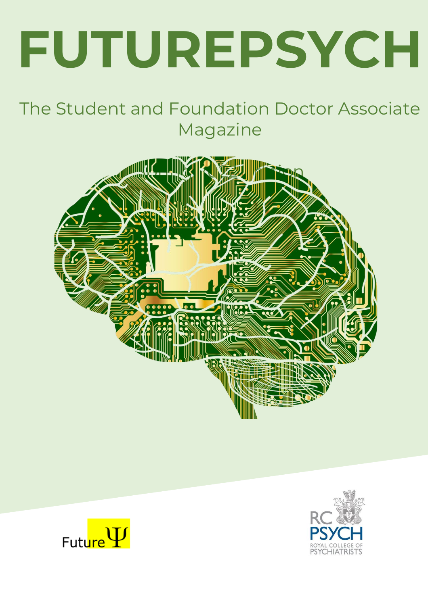# **FUTUREPSYCH**

### The Student and Foundation Doctor Associate Magazine





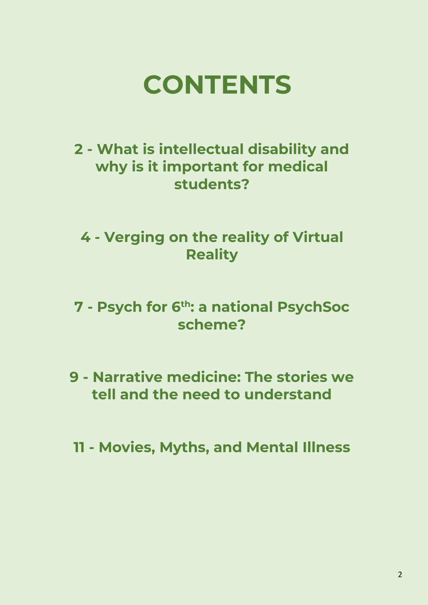

### **2 - What is intellectual disability and why is it important for medical students?**

### **4 - Verging on the reality of Virtual Reality**

- **7 - Psych for 6th: a national PsychSoc scheme?**
- **9 - Narrative medicine: The stories we tell and the need to understand**
- **11 - Movies, Myths, and Mental Illness**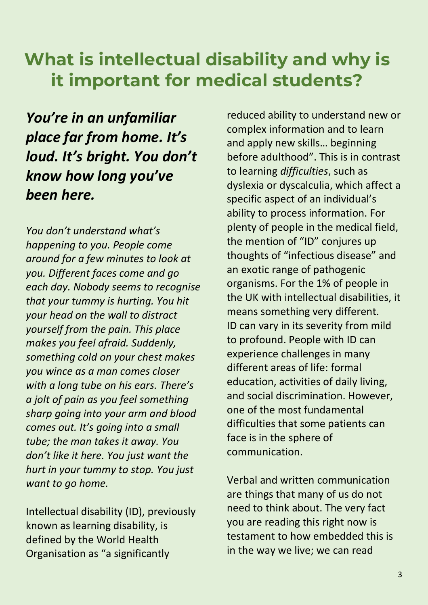### **What is intellectual disability and why is it important for medical students?**

*You're in an unfamiliar place far from home. It's loud. It's bright. You don't know how long you've been here.*

*You don't understand what's happening to you. People come around for a few minutes to look at you. Different faces come and go each day. Nobody seems to recognise that your tummy is hurting. You hit your head on the wall to distract yourself from the pain. This place makes you feel afraid. Suddenly, something cold on your chest makes you wince as a man comes closer with a long tube on his ears. There's a jolt of pain as you feel something sharp going into your arm and blood comes out. It's going into a small tube; the man takes it away. You don't like it here. You just want the hurt in your tummy to stop. You just want to go home.*

Intellectual disability (ID), previously known as learning disability, is defined by the World Health Organisation as "a significantly

reduced ability to understand new or complex information and to learn and apply new skills… beginning before adulthood". This is in contrast to learning *difficulties*, such as dyslexia or dyscalculia, which affect a specific aspect of an individual's ability to process information. For plenty of people in the medical field, the mention of "ID" conjures up thoughts of "infectious disease" and an exotic range of pathogenic organisms. For the 1% of people in the UK with intellectual disabilities, it means something very different. ID can vary in its severity from mild to profound. People with ID can experience challenges in many different areas of life: formal education, activities of daily living, and social discrimination. However, one of the most fundamental difficulties that some patients can face is in the sphere of communication.

Verbal and written communication are things that many of us do not need to think about. The very fact you are reading this right now is testament to how embedded this is in the way we live; we can read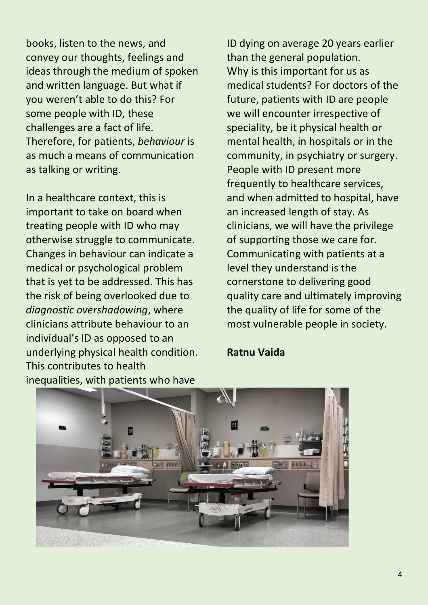books, listen to the news, and convey our thoughts, feelings and ideas through the medium of spoken and written language. But what if you weren't able to do this? For some people with ID, these challenges are a fact of life. Therefore, for patients, *behaviour* is as much a means of communication as talking or writing.

In a healthcare context, this is important to take on board when treating people with ID who may otherwise struggle to communicate. Changes in behaviour can indicate a medical or psychological problem that is yet to be addressed. This has the risk of being overlooked due to *diagnostic overshadowing*, where clinicians attribute behaviour to an individual's ID as opposed to an underlying physical health condition. This contributes to health inequalities, with patients who have

ID dying on average 20 years earlier than the general population. Why is this important for us as medical students? For doctors of the future, patients with ID are people we will encounter irrespective of speciality, be it physical health or mental health, in hospitals or in the community, in psychiatry or surgery. People with ID present more frequently to healthcare services, and when admitted to hospital, have an increased length of stay. As clinicians, we will have the privilege of supporting those we care for. Communicating with patients at a level they understand is the cornerstone to delivering good quality care and ultimately improving the quality of life for some of the most vulnerable people in society.

#### **Ratnu Vaida**

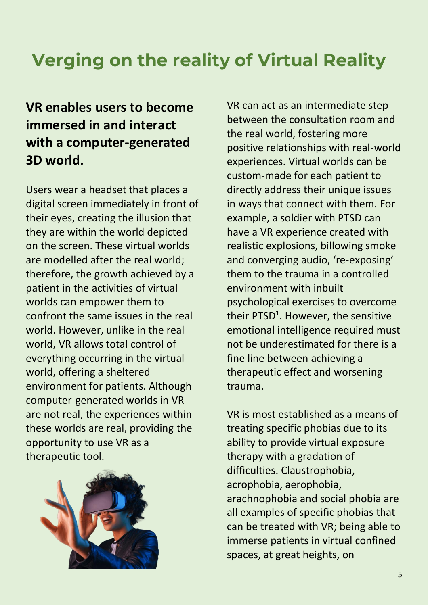# **Verging on the reality of Virtual Reality**

### **VR enables users to become immersed in and interact with a computer-generated 3D world.**

Users wear a headset that places a digital screen immediately in front of their eyes, creating the illusion that they are within the world depicted on the screen. These virtual worlds are modelled after the real world; therefore, the growth achieved by a patient in the activities of virtual worlds can empower them to confront the same issues in the real world. However, unlike in the real world, VR allows total control of everything occurring in the virtual world, offering a sheltered environment for patients. Although computer-generated worlds in VR are not real, the experiences within these worlds are real, providing the opportunity to use VR as a therapeutic tool.



VR can act as an intermediate step between the consultation room and the real world, fostering more positive relationships with real-world experiences. Virtual worlds can be custom-made for each patient to directly address their unique issues in ways that connect with them. For example, a soldier with PTSD can have a VR experience created with realistic explosions, billowing smoke and converging audio, 're-exposing' them to the trauma in a controlled environment with inbuilt psychological exercises to overcome their PTSD<sup>1</sup>. However, the sensitive emotional intelligence required must not be underestimated for there is a fine line between achieving a therapeutic effect and worsening trauma.

VR is most established as a means of treating specific phobias due to its ability to provide virtual exposure therapy with a gradation of difficulties. Claustrophobia, acrophobia, aerophobia, arachnophobia and social phobia are all examples of specific phobias that can be treated with VR; being able to immerse patients in virtual confined spaces, at great heights, on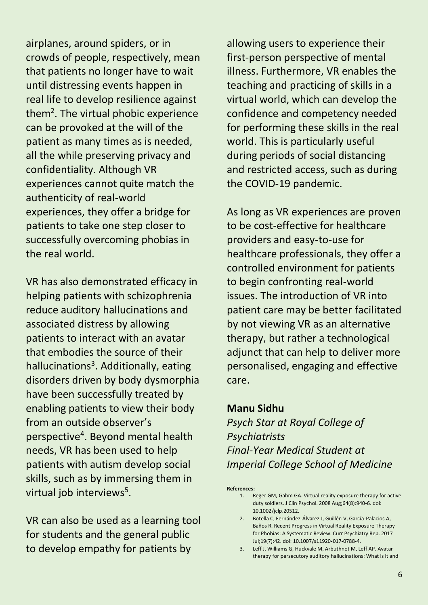airplanes, around spiders, or in crowds of people, respectively, mean that patients no longer have to wait until distressing events happen in real life to develop resilience against them<sup>2</sup>. The virtual phobic experience can be provoked at the will of the patient as many times as is needed, all the while preserving privacy and confidentiality. Although VR experiences cannot quite match the authenticity of real-world experiences, they offer a bridge for patients to take one step closer to successfully overcoming phobias in the real world.

VR has also demonstrated efficacy in helping patients with schizophrenia reduce auditory hallucinations and associated distress by allowing patients to interact with an avatar that embodies the source of their hallucinations<sup>3</sup>. Additionally, eating disorders driven by body dysmorphia have been successfully treated by enabling patients to view their body from an outside observer's perspective<sup>4</sup> . Beyond mental health needs, VR has been used to help patients with autism develop social skills, such as by immersing them in virtual job interviews<sup>5</sup>.

VR can also be used as a learning tool for students and the general public to develop empathy for patients by

allowing users to experience their first-person perspective of mental illness. Furthermore, VR enables the teaching and practicing of skills in a virtual world, which can develop the confidence and competency needed for performing these skills in the real world. This is particularly useful during periods of social distancing and restricted access, such as during the COVID-19 pandemic.

As long as VR experiences are proven to be cost-effective for healthcare providers and easy-to-use for healthcare professionals, they offer a controlled environment for patients to begin confronting real-world issues. The introduction of VR into patient care may be better facilitated by not viewing VR as an alternative therapy, but rather a technological adjunct that can help to deliver more personalised, engaging and effective care.

#### **Manu Sidhu**

*Psych Star at Royal College of Psychiatrists Final-Year Medical Student at Imperial College School of Medicine*

#### **References:**

- 1. Reger GM, Gahm GA. Virtual reality exposure therapy for active duty soldiers. J Clin Psychol. 2008 Aug;64(8):940-6. doi: 10.1002/jclp.20512.
- 2. Botella C, Fernández-Álvarez J, Guillén V, García-Palacios A, Baños R. Recent Progress in Virtual Reality Exposure Therapy for Phobias: A Systematic Review. Curr Psychiatry Rep. 2017 Jul;19(7):42. doi: 10.1007/s11920-017-0788-4.
- 3. Leff J, Williams G, Huckvale M, Arbuthnot M, Leff AP. Avatar therapy for persecutory auditory hallucinations: What is it and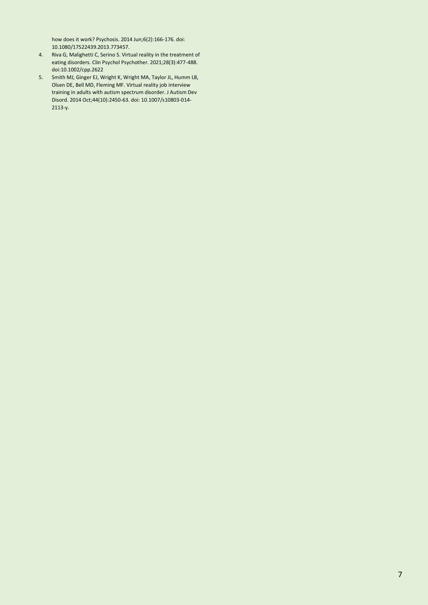how does it work? Psychosis. 2014 Jun;6(2):166-176. doi: 10.1080/17522439.2013.773457.

- 4. Riva G, Malighetti C, Serino S. Virtual reality in the treatment of eating disorders. Clin Psychol Psychother. 2021;28(3):477-488. doi:10.1002/cpp.2622
- 5. Smith MJ, Ginger EJ, Wright K, Wright MA, Taylor JL, Humm LB, Olsen DE, Bell MD, Fleming MF. Virtual reality job interview training in adults with autism spectrum disorder. J Autism Dev Disord. 2014 Oct;44(10):2450-63. doi: 10.1007/s10803-014- 2113-y.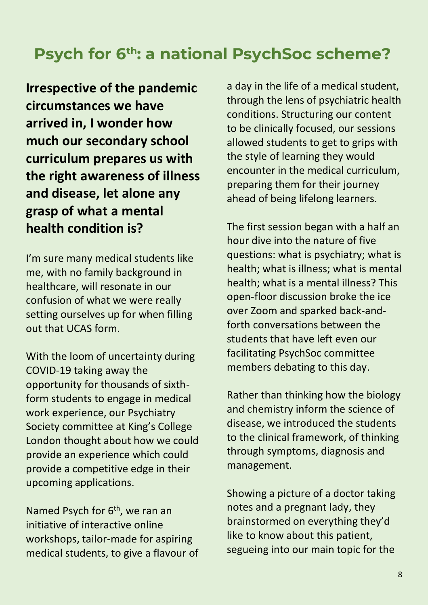### **Psych for 6th: a national PsychSoc scheme?**

**Irrespective of the pandemic circumstances we have arrived in, I wonder how much our secondary school curriculum prepares us with the right awareness of illness and disease, let alone any grasp of what a mental health condition is?**

I'm sure many medical students like me, with no family background in healthcare, will resonate in our confusion of what we were really setting ourselves up for when filling out that UCAS form.

With the loom of uncertainty during COVID-19 taking away the opportunity for thousands of sixthform students to engage in medical work experience, our Psychiatry Society committee at King's College London thought about how we could provide an experience which could provide a competitive edge in their upcoming applications.

Named Psych for 6<sup>th</sup>, we ran an initiative of interactive online workshops, tailor-made for aspiring medical students, to give a flavour of a day in the life of a medical student, through the lens of psychiatric health conditions. Structuring our content to be clinically focused, our sessions allowed students to get to grips with the style of learning they would encounter in the medical curriculum, preparing them for their journey ahead of being lifelong learners.

The first session began with a half an hour dive into the nature of five questions: what is psychiatry; what is health; what is illness; what is mental health; what is a mental illness? This open-floor discussion broke the ice over Zoom and sparked back-andforth conversations between the students that have left even our facilitating PsychSoc committee members debating to this day.

Rather than thinking how the biology and chemistry inform the science of disease, we introduced the students to the clinical framework, of thinking through symptoms, diagnosis and management.

Showing a picture of a doctor taking notes and a pregnant lady, they brainstormed on everything they'd like to know about this patient, segueing into our main topic for the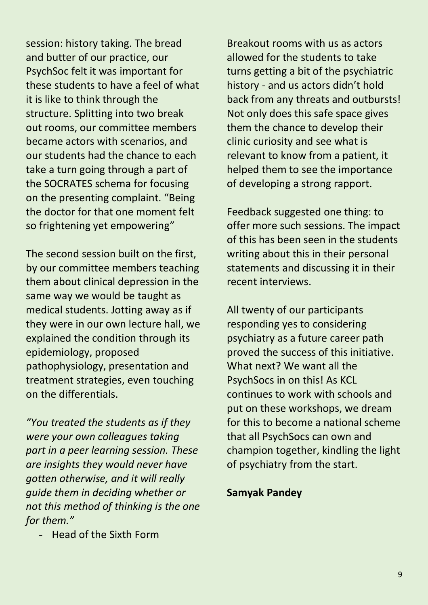session: history taking. The bread and butter of our practice, our PsychSoc felt it was important for these students to have a feel of what it is like to think through the structure. Splitting into two break out rooms, our committee members became actors with scenarios, and our students had the chance to each take a turn going through a part of the SOCRATES schema for focusing on the presenting complaint. "Being the doctor for that one moment felt so frightening yet empowering"

The second session built on the first, by our committee members teaching them about clinical depression in the same way we would be taught as medical students. Jotting away as if they were in our own lecture hall, we explained the condition through its epidemiology, proposed pathophysiology, presentation and treatment strategies, even touching on the differentials.

*"You treated the students as if they were your own colleagues taking part in a peer learning session. These are insights they would never have gotten otherwise, and it will really guide them in deciding whether or not this method of thinking is the one for them."*

- Head of the Sixth Form

Breakout rooms with us as actors allowed for the students to take turns getting a bit of the psychiatric history - and us actors didn't hold back from any threats and outbursts! Not only does this safe space gives them the chance to develop their clinic curiosity and see what is relevant to know from a patient, it helped them to see the importance of developing a strong rapport.

Feedback suggested one thing: to offer more such sessions. The impact of this has been seen in the students writing about this in their personal statements and discussing it in their recent interviews.

All twenty of our participants responding yes to considering psychiatry as a future career path proved the success of this initiative. What next? We want all the PsychSocs in on this! As KCL continues to work with schools and put on these workshops, we dream for this to become a national scheme that all PsychSocs can own and champion together, kindling the light of psychiatry from the start.

#### **Samyak Pandey**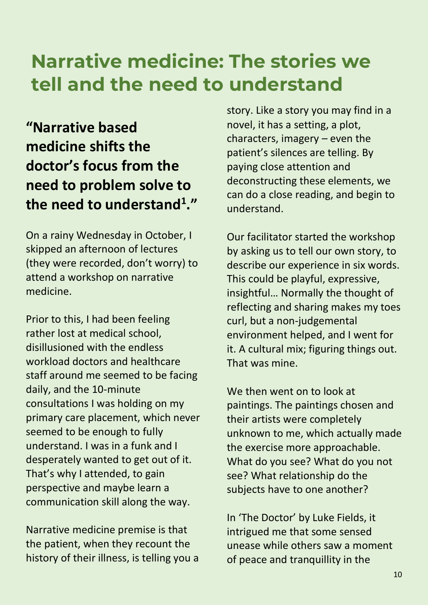# **Narrative medicine: The stories we tell and the need to understand**

**"Narrative based medicine shifts the doctor's focus from the need to problem solve to the need to understand<sup>1</sup> ."**

On a rainy Wednesday in October, I skipped an afternoon of lectures (they were recorded, don't worry) to attend a workshop on narrative medicine.

Prior to this, I had been feeling rather lost at medical school, disillusioned with the endless workload doctors and healthcare staff around me seemed to be facing daily, and the 10-minute consultations I was holding on my primary care placement, which never seemed to be enough to fully understand. I was in a funk and I desperately wanted to get out of it. That's why I attended, to gain perspective and maybe learn a communication skill along the way.

Narrative medicine premise is that the patient, when they recount the history of their illness, is telling you a

story. Like a story you may find in a novel, it has a setting, a plot, characters, imagery – even the patient's silences are telling. By paying close attention and deconstructing these elements, we can do a close reading, and begin to understand.

Our facilitator started the workshop by asking us to tell our own story, to describe our experience in six words. This could be playful, expressive, insightful… Normally the thought of reflecting and sharing makes my toes curl, but a non-judgemental environment helped, and I went for it. A cultural mix; figuring things out. That was mine.

We then went on to look at paintings. The paintings chosen and their artists were completely unknown to me, which actually made the exercise more approachable. What do you see? What do you not see? What relationship do the subjects have to one another?

In 'The Doctor' by Luke Fields, it intrigued me that some sensed unease while others saw a moment of peace and tranquillity in the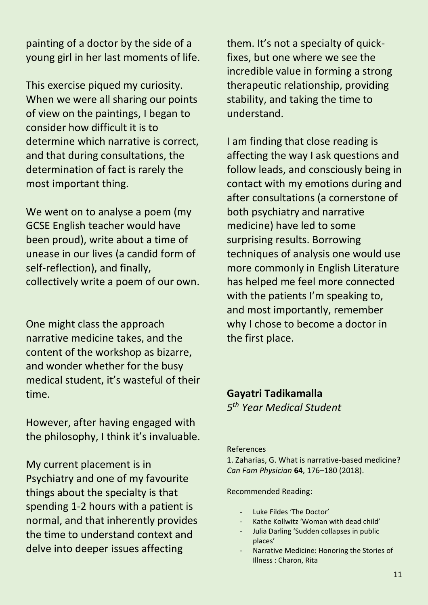painting of a doctor by the side of a young girl in her last moments of life.

This exercise piqued my curiosity. When we were all sharing our points of view on the paintings, I began to consider how difficult it is to determine which narrative is correct, and that during consultations, the determination of fact is rarely the most important thing.

We went on to analyse a poem (my GCSE English teacher would have been proud), write about a time of unease in our lives (a candid form of self-reflection), and finally, collectively write a poem of our own.

One might class the approach narrative medicine takes, and the content of the workshop as bizarre, and wonder whether for the busy medical student, it's wasteful of their time.

However, after having engaged with the philosophy, I think it's invaluable.

My current placement is in Psychiatry and one of my favourite things about the specialty is that spending 1-2 hours with a patient is normal, and that inherently provides the time to understand context and delve into deeper issues affecting

them. It's not a specialty of quickfixes, but one where we see the incredible value in forming a strong therapeutic relationship, providing stability, and taking the time to understand.

I am finding that close reading is affecting the way I ask questions and follow leads, and consciously being in contact with my emotions during and after consultations (a cornerstone of both psychiatry and narrative medicine) have led to some surprising results. Borrowing techniques of analysis one would use more commonly in English Literature has helped me feel more connected with the patients I'm speaking to, and most importantly, remember why I chose to become a doctor in the first place.

### **Gayatri Tadikamalla** *5 th Year Medical Student*

#### References

1. Zaharias, G. What is narrative-based medicine? *Can Fam Physician* **64**, 176–180 (2018).

#### Recommended Reading:

- Luke Fildes 'The Doctor'
- Kathe Kollwitz 'Woman with dead child'
- Julia Darling 'Sudden collapses in public places'
- Narrative Medicine: Honoring the Stories of Illness : Charon, Rita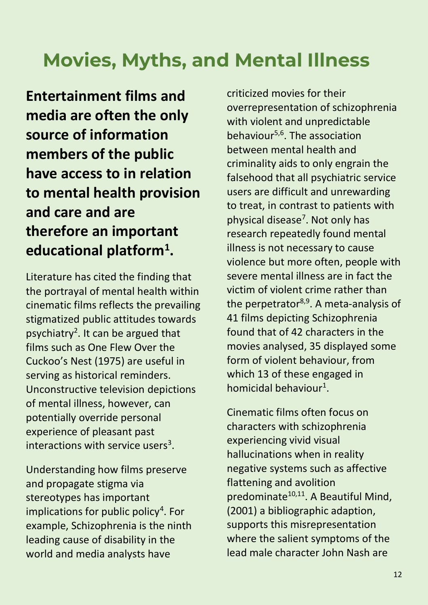# **Movies, Myths, and Mental Illness**

**Entertainment films and media are often the only source of information members of the public have access to in relation to mental health provision and care and are therefore an important educational platform<sup>1</sup> .**

Literature has cited the finding that the portrayal of mental health within cinematic films reflects the prevailing stigmatized public attitudes towards psychiatry<sup>2</sup>. It can be argued that films such as One Flew Over the Cuckoo's Nest (1975) are useful in serving as historical reminders. Unconstructive television depictions of mental illness, however, can potentially override personal experience of pleasant past interactions with service users<sup>3</sup>.

Understanding how films preserve and propagate stigma via stereotypes has important implications for public policy<sup>4</sup>. For example, Schizophrenia is the ninth leading cause of disability in the world and media analysts have

criticized movies for their overrepresentation of schizophrenia with violent and unpredictable behaviour $5,6$ . The association between mental health and criminality aids to only engrain the falsehood that all psychiatric service users are difficult and unrewarding to treat, in contrast to patients with physical disease<sup>7</sup>. Not only has research repeatedly found mental illness is not necessary to cause violence but more often, people with severe mental illness are in fact the victim of violent crime rather than the perpetrator $8,9$ . A meta-analysis of 41 films depicting Schizophrenia found that of 42 characters in the movies analysed, 35 displayed some form of violent behaviour, from which 13 of these engaged in homicidal behaviour<sup>1</sup>.

Cinematic films often focus on characters with schizophrenia experiencing vivid visual hallucinations when in reality negative systems such as affective flattening and avolition predominate $10,11$ . A Beautiful Mind, (2001) a bibliographic adaption, supports this misrepresentation where the salient symptoms of the lead male character John Nash are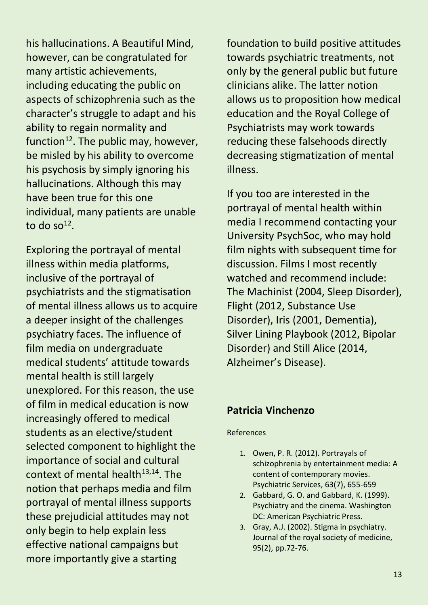his hallucinations. A Beautiful Mind, however, can be congratulated for many artistic achievements, including educating the public on aspects of schizophrenia such as the character's struggle to adapt and his ability to regain normality and function $12$ . The public may, however, be misled by his ability to overcome his psychosis by simply ignoring his hallucinations. Although this may have been true for this one individual, many patients are unable to do so $^{12}$ .

Exploring the portrayal of mental illness within media platforms, inclusive of the portrayal of psychiatrists and the stigmatisation of mental illness allows us to acquire a deeper insight of the challenges psychiatry faces. The influence of film media on undergraduate medical students' attitude towards mental health is still largely unexplored. For this reason, the use of film in medical education is now increasingly offered to medical students as an elective/student selected component to highlight the importance of social and cultural context of mental health $13,14$ . The notion that perhaps media and film portrayal of mental illness supports these prejudicial attitudes may not only begin to help explain less effective national campaigns but more importantly give a starting

foundation to build positive attitudes towards psychiatric treatments, not only by the general public but future clinicians alike. The latter notion allows us to proposition how medical education and the Royal College of Psychiatrists may work towards reducing these falsehoods directly decreasing stigmatization of mental illness.

If you too are interested in the portrayal of mental health within media I recommend contacting your University PsychSoc, who may hold film nights with subsequent time for discussion. Films I most recently watched and recommend include: The Machinist (2004, Sleep Disorder), Flight (2012, Substance Use Disorder), Iris (2001, Dementia), Silver Lining Playbook (2012, Bipolar Disorder) and Still Alice (2014, Alzheimer's Disease).

#### **Patricia Vinchenzo**

#### References

- 1. Owen, P. R. (2012). Portrayals of schizophrenia by entertainment media: A content of contemporary movies. Psychiatric Services, 63(7), 655-659
- 2. Gabbard, G. O. and Gabbard, K. (1999). Psychiatry and the cinema. Washington DC: American Psychiatric Press.
- 3. Gray, A.J. (2002). Stigma in psychiatry. Journal of the royal society of medicine, 95(2), pp.72-76.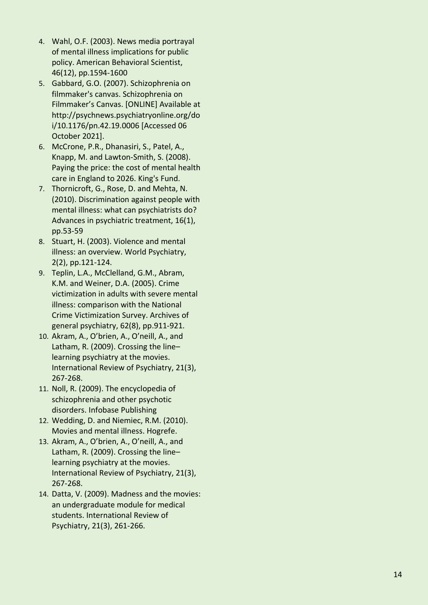- 4. Wahl, O.F. (2003). News media portrayal of mental illness implications for public policy. American Behavioral Scientist, 46(12), pp.1594 -1600
- 5. Gabbard, G.O. (2007). Schizophrenia on filmmaker's canvas. Schizophrenia on Filmmaker's Canvas. [ONLINE] Available at http://psychnews.psychiatryonline.org/do i/10.1176/pn.42.19.0006 [Accessed 06 October 2021].
- 6. McCrone, P.R., Dhanasiri, S., Patel, A., Knapp, M. and Lawton -Smith, S. (2008). Paying the price: the cost of mental health care in England to 2026. King's Fund.
- 7. Thornicroft, G., Rose, D. and Mehta, N. (2010). Discrimination against people with mental illness: what can psychiatrists do? Advances in psychiatric treatment, 16(1), pp.53 -59
- 8. Stuart, H. (2003). Violence and mental illness: an overview. World Psychiatry, 2(2), pp.121 -124.
- 9. Teplin, L.A., McClelland, G.M., Abram, K.M. and Weiner, D.A. (2005). Crime victimization in adults with severe mental illness: comparison with the National Crime Victimization Survey. Archives of general psychiatry, 62(8), pp.911 -921.
- 10. Akram, A., O'brien, A., O'neill, A., and Latham, R. (2009). Crossing the line – learning psychiatry at the movies. International Review of Psychiatry, 21(3), 267 -268.
- 11. Noll, R. (2009). The encyclopedia of schizophrenia and other psychotic disorders. Infobase Publishing
- 12. Wedding, D. and Niemiec, R.M. (2010). Movies and mental illness. Hogrefe.
- 13. Akram, A., O'brien, A., O'neill, A., and Latham, R. (2009). Crossing the line – learning psychiatry at the movies. International Review of Psychiatry, 21(3), 267 - 268.
- 14. Datta, V. (2009). Madness and the movies: an undergraduate module for medical students. International Review of Psychiatry, 21(3), 261 -266.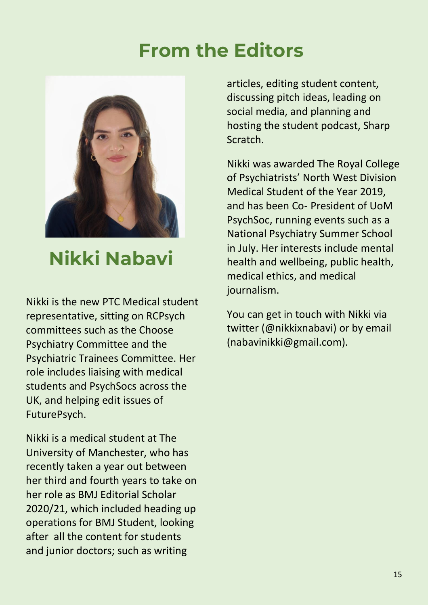## **From the Editors**



## **Nikki Nabavi**

Nikki is the new PTC Medical student representative, sitting on RCPsych committees such as the Choose Psychiatry Committee and the Psychiatric Trainees Committee. Her role includes liaising with medical students and PsychSocs across the UK, and helping edit issues of FuturePsych.

Nikki is a medical student at The University of Manchester, who has recently taken a year out between her third and fourth years to take on her role as BMJ Editorial Scholar 2020/21, which included heading up operations for BMJ Student, looking after all the content for students and junior doctors; such as writing

articles, editing student content, discussing pitch ideas, leading on social media, and planning and hosting the student podcast, Sharp Scratch.

Nikki was awarded The Royal College of Psychiatrists' North West Division Medical Student of the Year 2019, and has been Co- President of UoM PsychSoc, running events such as a National Psychiatry Summer School in July. Her interests include mental health and wellbeing, public health, medical ethics, and medical journalism.

You can get in touch with Nikki via twitter (@nikkixnabavi) or by email (nabavinikki@gmail.com).